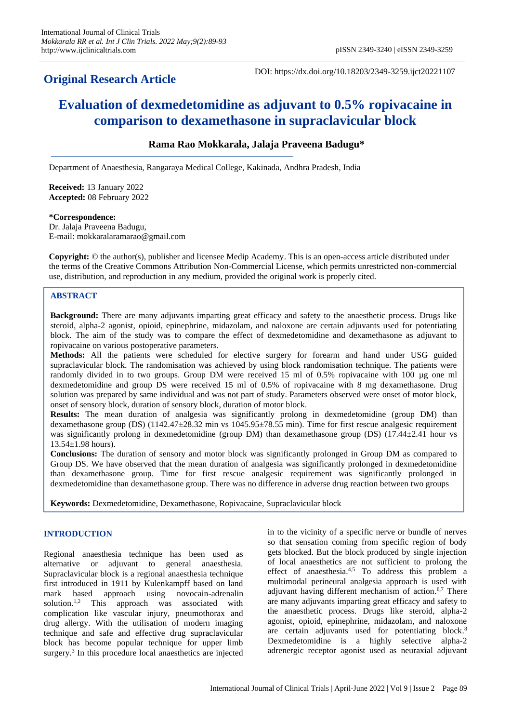## **Original Research Article**

DOI: https://dx.doi.org/10.18203/2349-3259.ijct20221107

# **Evaluation of dexmedetomidine as adjuvant to 0.5% ropivacaine in comparison to dexamethasone in supraclavicular block**

## **Rama Rao Mokkarala, Jalaja Praveena Badugu\***

Department of Anaesthesia, Rangaraya Medical College, Kakinada, Andhra Pradesh, India

**Received:** 13 January 2022 **Accepted:** 08 February 2022

#### **\*Correspondence:**

Dr. Jalaja Praveena Badugu, E-mail: mokkaralaramarao@gmail.com

**Copyright:** © the author(s), publisher and licensee Medip Academy. This is an open-access article distributed under the terms of the Creative Commons Attribution Non-Commercial License, which permits unrestricted non-commercial use, distribution, and reproduction in any medium, provided the original work is properly cited.

## **ABSTRACT**

**Background:** There are many adjuvants imparting great efficacy and safety to the anaesthetic process. Drugs like steroid, alpha-2 agonist, opioid, epinephrine, midazolam, and naloxone are certain adjuvants used for potentiating block. The aim of the study was to compare the effect of dexmedetomidine and dexamethasone as adjuvant to ropivacaine on various postoperative parameters.

**Methods:** All the patients were scheduled for elective surgery for forearm and hand under USG guided supraclavicular block. The randomisation was achieved by using block randomisation technique. The patients were randomly divided in to two groups. Group DM were received 15 ml of 0.5% ropivacaine with 100 µg one ml dexmedetomidine and group DS were received 15 ml of 0.5% of ropivacaine with 8 mg dexamethasone. Drug solution was prepared by same individual and was not part of study. Parameters observed were onset of motor block, onset of sensory block, duration of sensory block, duration of motor block.

**Results:** The mean duration of analgesia was significantly prolong in dexmedetomidine (group DM) than dexamethasone group (DS) (1142.47±28.32 min vs 1045.95±78.55 min). Time for first rescue analgesic requirement was significantly prolong in dexmedetomidine (group DM) than dexamethasone group (DS) (17.44±2.41 hour vs  $13.54 \pm 1.98$  hours).

**Conclusions:** The duration of sensory and motor block was significantly prolonged in Group DM as compared to Group DS. We have observed that the mean duration of analgesia was significantly prolonged in dexmedetomidine than dexamethasone group. Time for first rescue analgesic requirement was significantly prolonged in dexmedetomidine than dexamethasone group. There was no difference in adverse drug reaction between two groups

**Keywords:** Dexmedetomidine, Dexamethasone, Ropivacaine, Supraclavicular block

## **INTRODUCTION**

Regional anaesthesia technique has been used as alternative or adjuvant to general anaesthesia. Supraclavicular block is a regional anaesthesia technique first introduced in 1911 by Kulenkampff based on land mark based approach using novocain-adrenalin solution.<sup>1,2</sup> This approach was associated with complication like vascular injury, pneumothorax and drug allergy. With the utilisation of modern imaging technique and safe and effective drug supraclavicular block has become popular technique for upper limb surgery.<sup>3</sup> In this procedure local anaesthetics are injected in to the vicinity of a specific nerve or bundle of nerves so that sensation coming from specific region of body gets blocked. But the block produced by single injection of local anaesthetics are not sufficient to prolong the effect of anaesthesia.4,5 To address this problem a multimodal perineural analgesia approach is used with adjuvant having different mechanism of action.<sup>6,7</sup> There are many adjuvants imparting great efficacy and safety to the anaesthetic process. Drugs like steroid, alpha-2 agonist, opioid, epinephrine, midazolam, and naloxone are certain adjuvants used for potentiating block. 8 Dexmedetomidine is a highly selective alpha-2 adrenergic receptor agonist used as neuraxial adjuvant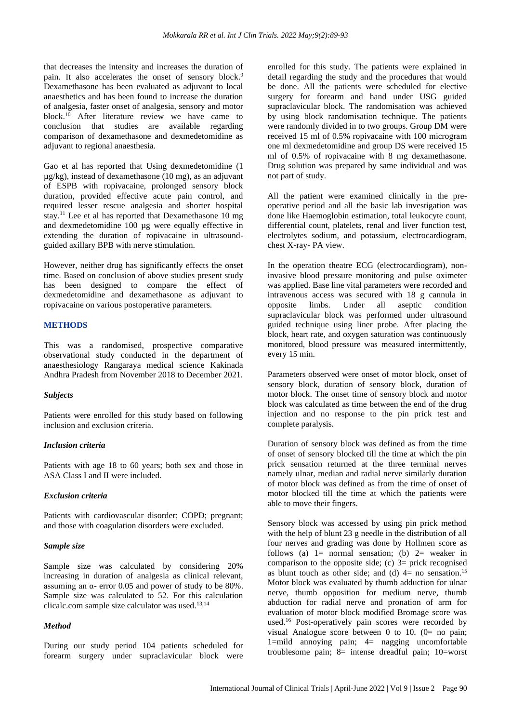that decreases the intensity and increases the duration of pain. It also accelerates the onset of sensory block.<sup>9</sup> Dexamethasone has been evaluated as adjuvant to local anaesthetics and has been found to increase the duration of analgesia, faster onset of analgesia, sensory and motor block. <sup>10</sup> After literature review we have came to conclusion that studies are available regarding comparison of dexamethasone and dexmedetomidine as adjuvant to regional anaesthesia.

Gao et al has reported that Using dexmedetomidine (1 µg/kg), instead of dexamethasone (10 mg), as an adjuvant of ESPB with ropivacaine, prolonged sensory block duration, provided effective acute pain control, and required lesser rescue analgesia and shorter hospital stay.<sup>11</sup> Lee et al has reported that Dexamethasone 10 mg and dexmedetomidine 100 µg were equally effective in extending the duration of ropivacaine in ultrasoundguided axillary BPB with nerve stimulation.

However, neither drug has significantly effects the onset time. Based on conclusion of above studies present study has been designed to compare the effect of dexmedetomidine and dexamethasone as adjuvant to ropivacaine on various postoperative parameters.

#### **METHODS**

This was a randomised, prospective comparative observational study conducted in the department of anaesthesiology Rangaraya medical science Kakinada Andhra Pradesh from November 2018 to December 2021.

#### *Subjects*

Patients were enrolled for this study based on following inclusion and exclusion criteria.

#### *Inclusion criteria*

Patients with age 18 to 60 years; both sex and those in ASA Class I and II were included.

#### *Exclusion criteria*

Patients with cardiovascular disorder; COPD; pregnant; and those with coagulation disorders were excluded.

#### *Sample size*

Sample size was calculated by considering 20% increasing in duration of analgesia as clinical relevant, assuming an α- error 0.05 and power of study to be 80%. Sample size was calculated to 52. For this calculation clicalc.com sample size calculator was used.<sup>13,14</sup>

#### *Method*

During our study period 104 patients scheduled for forearm surgery under supraclavicular block were enrolled for this study. The patients were explained in detail regarding the study and the procedures that would be done. All the patients were scheduled for elective surgery for forearm and hand under USG guided supraclavicular block. The randomisation was achieved by using block randomisation technique. The patients were randomly divided in to two groups. Group DM were received 15 ml of 0.5% ropivacaine with 100 microgram one ml dexmedetomidine and group DS were received 15 ml of 0.5% of ropivacaine with 8 mg dexamethasone. Drug solution was prepared by same individual and was not part of study.

All the patient were examined clinically in the preoperative period and all the basic lab investigation was done like Haemoglobin estimation, total leukocyte count, differential count, platelets, renal and liver function test, electrolytes sodium, and potassium, electrocardiogram, chest X-ray- PA view.

In the operation theatre ECG (electrocardiogram), noninvasive blood pressure monitoring and pulse oximeter was applied. Base line vital parameters were recorded and intravenous access was secured with 18 g cannula in opposite limbs. Under all aseptic condition supraclavicular block was performed under ultrasound guided technique using liner probe. After placing the block, heart rate, and oxygen saturation was continuously monitored, blood pressure was measured intermittently, every 15 min.

Parameters observed were onset of motor block, onset of sensory block, duration of sensory block, duration of motor block. The onset time of sensory block and motor block was calculated as time between the end of the drug injection and no response to the pin prick test and complete paralysis.

Duration of sensory block was defined as from the time of onset of sensory blocked till the time at which the pin prick sensation returned at the three terminal nerves namely ulnar, median and radial nerve similarly duration of motor block was defined as from the time of onset of motor blocked till the time at which the patients were able to move their fingers.

Sensory block was accessed by using pin prick method with the help of blunt 23 g needle in the distribution of all four nerves and grading was done by Hollmen score as follows (a)  $1=$  normal sensation; (b)  $2=$  weaker in comparison to the opposite side; (c)  $3=$  prick recognised as blunt touch as other side; and (d)  $4=$  no sensation.<sup>15</sup> Motor block was evaluated by thumb adduction for ulnar nerve, thumb opposition for medium nerve, thumb abduction for radial nerve and pronation of arm for evaluation of motor block modified Bromage score was used.<sup>16</sup> Post-operatively pain scores were recorded by visual Analogue score between 0 to 10. (0= no pain; 1=mild annoying pain; 4= nagging uncomfortable troublesome pain; 8= intense dreadful pain; 10=worst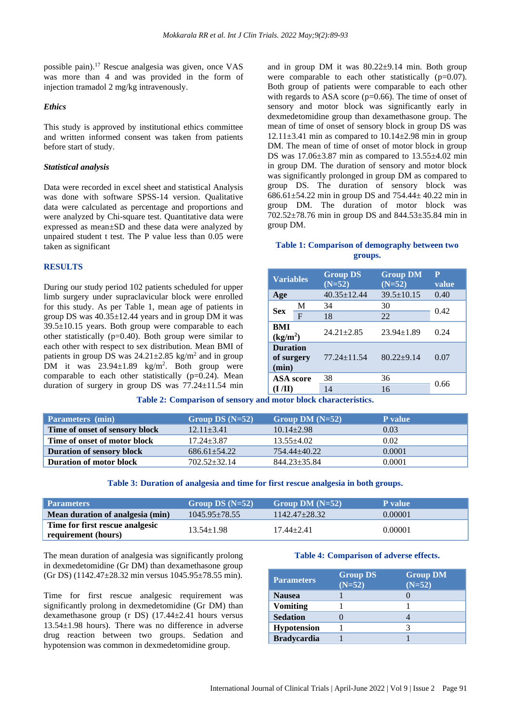possible pain).<sup>17</sup> Rescue analgesia was given, once VAS was more than 4 and was provided in the form of injection tramadol 2 mg/kg intravenously.

#### *Ethics*

This study is approved by institutional ethics committee and written informed consent was taken from patients before start of study.

#### *Statistical analysis*

Data were recorded in excel sheet and statistical Analysis was done with software SPSS-14 version. Qualitative data were calculated as percentage and proportions and were analyzed by Chi-square test. Quantitative data were expressed as mean±SD and these data were analyzed by unpaired student t test. The P value less than 0.05 were taken as significant

#### **RESULTS**

During our study period 102 patients scheduled for upper limb surgery under supraclavicular block were enrolled for this study. As per Table 1, mean age of patients in group DS was  $40.35 \pm 12.44$  years and in group DM it was  $39.5\pm10.15$  years. Both group were comparable to each other statistically (p=0.40). Both group were similar to each other with respect to sex distribution. Mean BMI of patients in group DS was  $24.21 \pm 2.85$  kg/m<sup>2</sup> and in group DM it was  $23.94 \pm 1.89$  kg/m<sup>2</sup>. Both group were comparable to each other statistically  $(p=0.24)$ . Mean duration of surgery in group DS was  $77.24 \pm 11.54$  min and in group DM it was  $80.22 \pm 9.14$  min. Both group were comparable to each other statistically (p=0.07). Both group of patients were comparable to each other with regards to ASA score (p=0.66). The time of onset of sensory and motor block was significantly early in dexmedetomidine group than dexamethasone group. The mean of time of onset of sensory block in group DS was  $12.11\pm3.41$  min as compared to  $10.14\pm2.98$  min in group DM. The mean of time of onset of motor block in group DS was  $17.06\pm3.87$  min as compared to  $13.55\pm4.02$  min in group DM. The duration of sensory and motor block was significantly prolonged in group DM as compared to group DS. The duration of sensory block was 686.61±54.22 min in group DS and 754.44± 40.22 min in group DM. The duration of motor block was 702.52±78.76 min in group DS and 844.53±35.84 min in group DM.

#### **Table 1: Comparison of demography between two groups.**

| <b>Variables</b>                              |             | <b>Group DS</b><br>$(N=52)$ | <b>Group DM</b><br>$(N=52)$ | $\overline{\mathbf{P}}$<br>value |
|-----------------------------------------------|-------------|-----------------------------|-----------------------------|----------------------------------|
| Age                                           |             | $40.35 \pm 12.44$           | $39.5 \pm 10.15$            | 0.40                             |
| <b>Sex</b>                                    | M           | 34                          | 30                          | 0.42                             |
|                                               | $\mathbf F$ | 18                          | 22                          |                                  |
| BMI<br>(kg/m <sup>2</sup> )                   |             | $24.21 \pm 2.85$            | $23.94 \pm 1.89$            | 0.24                             |
| <b>Duration</b><br>of surgery<br>(min)        |             | $77.24 \pm 11.54$           | $80.22 \pm 9.14$            | 0.07                             |
| <b>ASA</b> score<br>$(\mathbf{I}/\mathbf{I})$ |             | 38                          | 36                          |                                  |
|                                               |             | 14                          | 16                          | 0.66                             |

**Table 2: Comparison of sensory and motor block characteristics.**

| <b>Parameters</b> (min)          | Group DS $(N=52)$ | Group DM $(N=52)$  | P value |
|----------------------------------|-------------------|--------------------|---------|
| Time of onset of sensory block   | $12.11 \pm 3.41$  | $10.14 + 2.98$     | 0.03    |
| Time of onset of motor block     | $17.24 \pm 3.87$  | $13.55 + 4.02$     | 0.02    |
| <b>Duration of sensory block</b> | $686.61 + 54.22$  | $754.44 + 40.22$   | 0.0001  |
| <b>Duration of motor block</b>   | $702.52 + 32.14$  | $844.23 \pm 35.84$ | 0.0001  |

#### **Table 3: Duration of analgesia and time for first rescue analgesia in both groups.**

| <b>Parameters</b>                                      | Group DS $(N=52)$ | Group DM $(N=52)$ | P value |
|--------------------------------------------------------|-------------------|-------------------|---------|
| Mean duration of analgesia (min)                       | $1045.95 + 78.55$ | $1142.47 + 28.32$ | 0.00001 |
| Time for first rescue analgesic<br>requirement (hours) | $13.54 \pm 1.98$  | $17.44 + 2.41$    | 0.00001 |

The mean duration of analgesia was significantly prolong in dexmedetomidine (Gr DM) than dexamethasone group (Gr DS) (1142.47±28.32 min versus 1045.95±78.55 min).

Time for first rescue analgesic requirement was significantly prolong in dexmedetomidine (Gr DM) than dexamethasone group (r DS) (17.44±2.41 hours versus 13.54±1.98 hours). There was no difference in adverse drug reaction between two groups. Sedation and hypotension was common in dexmedetomidine group.

#### **Table 4: Comparison of adverse effects.**

| <b>Parameters</b>  | <b>Group DS</b><br>$(N=52)$ | <b>Group DM</b><br>$(N=52)$ |
|--------------------|-----------------------------|-----------------------------|
| <b>Nausea</b>      |                             |                             |
| <b>Vomiting</b>    |                             |                             |
| <b>Sedation</b>    |                             |                             |
| <b>Hypotension</b> |                             |                             |
| <b>Bradycardia</b> |                             |                             |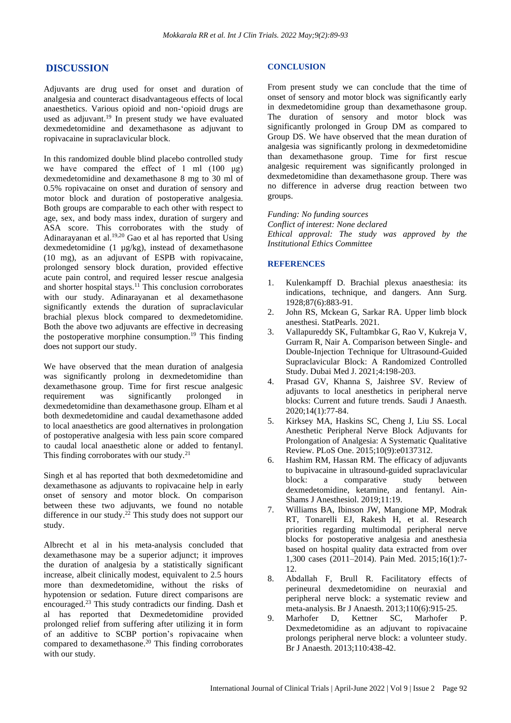## **DISCUSSION**

Adjuvants are drug used for onset and duration of analgesia and counteract disadvantageous effects of local anaesthetics. Various opioid and non-'opioid drugs are used as adjuvant. <sup>19</sup> In present study we have evaluated dexmedetomidine and dexamethasone as adjuvant to ropivacaine in supraclavicular block.

In this randomized double blind placebo controlled study we have compared the effect of 1 ml  $(100 \text{ µg})$ dexmedetomidine and dexamethasone 8 mg to 30 ml of 0.5% ropivacaine on onset and duration of sensory and motor block and duration of postoperative analgesia. Both groups are comparable to each other with respect to age, sex, and body mass index, duration of surgery and ASA score. This corroborates with the study of Adinarayanan et al. 19,20 Gao et al has reported that Using dexmedetomidine (1 µg/kg), instead of dexamethasone (10 mg), as an adjuvant of ESPB with ropivacaine, prolonged sensory block duration, provided effective acute pain control, and required lesser rescue analgesia and shorter hospital stays.<sup>11</sup> This conclusion corroborates with our study. Adinarayanan et al dexamethasone significantly extends the duration of supraclavicular brachial plexus block compared to dexmedetomidine. Both the above two adjuvants are effective in decreasing the postoperative morphine consumption. <sup>19</sup> This finding does not support our study.

We have observed that the mean duration of analgesia was significantly prolong in dexmedetomidine than dexamethasone group. Time for first rescue analgesic requirement was significantly prolonged in dexmedetomidine than dexamethasone group. Elham et al both dexmedetomidine and caudal dexamethasone added to local anaesthetics are good alternatives in prolongation of postoperative analgesia with less pain score compared to caudal local anaesthetic alone or added to fentanyl. This finding corroborates with our study.<sup>21</sup>

Singh et al has reported that both dexmedetomidine and dexamethasone as adjuvants to ropivacaine help in early onset of sensory and motor block. On comparison between these two adjuvants, we found no notable difference in our study. <sup>22</sup> This study does not support our study.

Albrecht et al in his meta-analysis concluded that dexamethasone may be a superior adjunct; it improves the duration of analgesia by a statistically significant increase, albeit clinically modest, equivalent to 2.5 hours more than dexmedetomidine, without the risks of hypotension or sedation. Future direct comparisons are encouraged. <sup>23</sup> This study contradicts our finding. Dash et al has reported that Dexmedetomidine provided prolonged relief from suffering after utilizing it in form of an additive to SCBP portion's ropivacaine when compared to dexamethasone. <sup>20</sup> This finding corroborates with our study.

#### **CONCLUSION**

From present study we can conclude that the time of onset of sensory and motor block was significantly early in dexmedetomidine group than dexamethasone group. The duration of sensory and motor block was significantly prolonged in Group DM as compared to Group DS. We have observed that the mean duration of analgesia was significantly prolong in dexmedetomidine than dexamethasone group. Time for first rescue analgesic requirement was significantly prolonged in dexmedetomidine than dexamethasone group. There was no difference in adverse drug reaction between two groups.

*Funding: No funding sources Conflict of interest: None declared Ethical approval: The study was approved by the Institutional Ethics Committee*

### **REFERENCES**

- 1. Kulenkampff D. Brachial plexus anaesthesia: its indications, technique, and dangers. Ann Surg. 1928;87(6):883-91.
- 2. John RS, Mckean G, Sarkar RA. Upper limb block anesthesi. StatPearls. 2021.
- 3. Vallapureddy SK, Fultambkar G, Rao V, Kukreja V, Gurram R, Nair A. Comparison between Single- and Double-Injection Technique for Ultrasound-Guided Supraclavicular Block: A Randomized Controlled Study. Dubai Med J. 2021;4:198-203.
- 4. Prasad GV, Khanna S, Jaishree SV. Review of adjuvants to local anesthetics in peripheral nerve blocks: Current and future trends. Saudi J Anaesth. 2020;14(1):77-84.
- 5. Kirksey MA, Haskins SC, Cheng J, Liu SS. Local Anesthetic Peripheral Nerve Block Adjuvants for Prolongation of Analgesia: A Systematic Qualitative Review. PLoS One. 2015;10(9):e0137312.
- 6. Hashim RM, Hassan RM. The efficacy of adjuvants to bupivacaine in ultrasound-guided supraclavicular block: a comparative study between dexmedetomidine, ketamine, and fentanyl. Ain-Shams J Anesthesiol. 2019;11:19.
- 7. Williams BA, Ibinson JW, Mangione MP, Modrak RT, Tonarelli EJ, Rakesh H, et al. Research priorities regarding multimodal peripheral nerve blocks for postoperative analgesia and anesthesia based on hospital quality data extracted from over 1,300 cases (2011–2014). Pain Med. 2015;16(1):7- 12.
- 8. Abdallah F, Brull R. Facilitatory effects of perineural dexmedetomidine on neuraxial and peripheral nerve block: a systematic review and meta-analysis. Br J Anaesth. 2013;110(6):915-25.
- 9. Marhofer D, Kettner SC, Marhofer P. Dexmedetomidine as an adjuvant to ropivacaine prolongs peripheral nerve block: a volunteer study. Br J Anaesth. 2013;110:438-42.